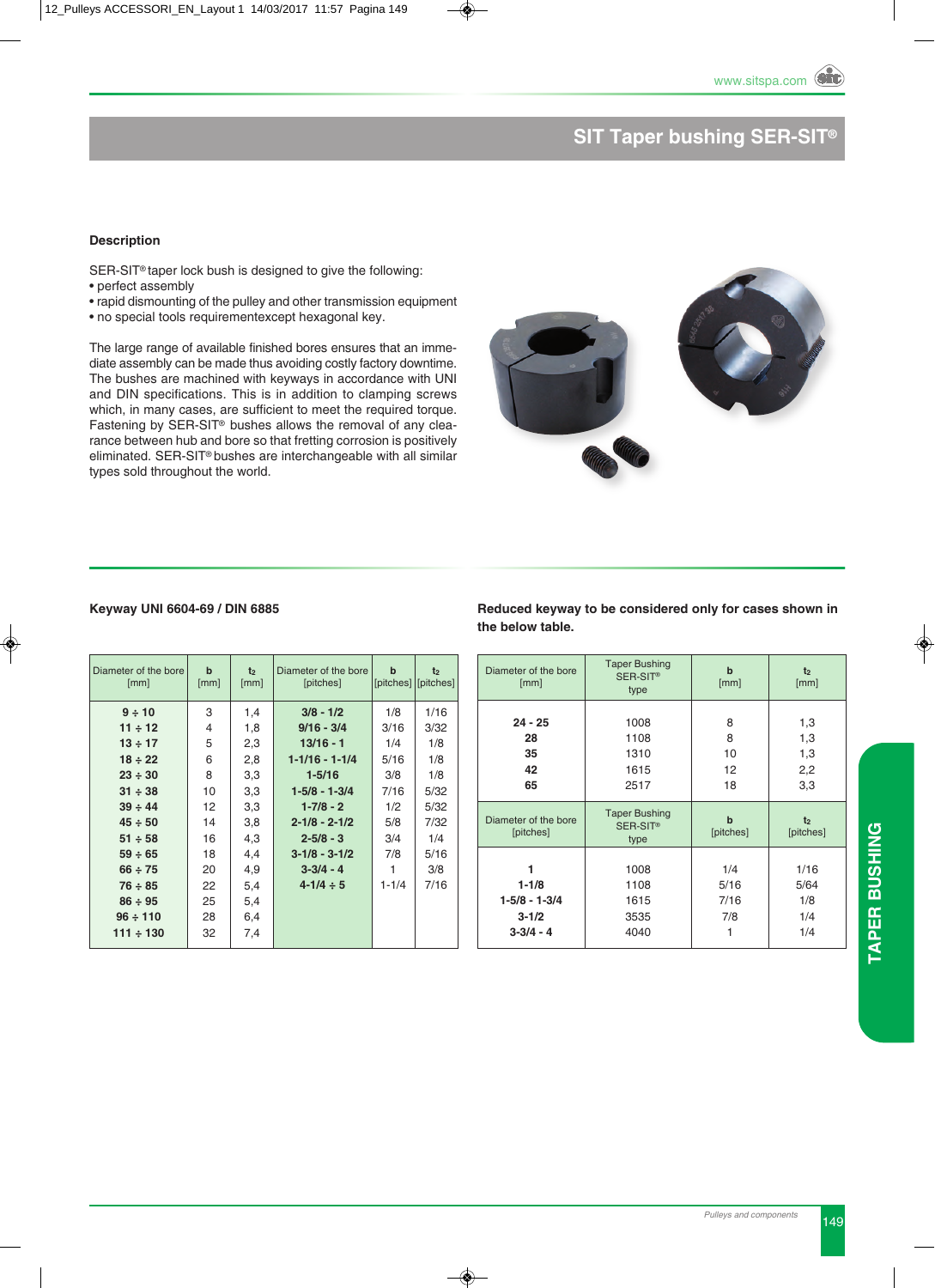# **SIT Taper bushing SER-SIT®**

### **Description**

SER-SIT<sup>®</sup> taper lock bush is designed to give the following:

- perfect assembly
- rapid dismounting of the pulley and other transmission equipment
- no special tools requirementexcept hexagonal key.

The large range of available finished bores ensures that an immediate assembly can be made thus avoiding costly factory downtime. The bushes are machined with keyways in accordance with UNi and DiN specifications. This is in addition to clamping screws which, in many cases, are sufficient to meet the required torque. Fastening by SER-SIT<sup>®</sup> bushes allows the removal of any clearance between hub and bore so that fretting corrosion is positively eliminated. SER-SIT<sup>®</sup> bushes are interchangeable with all similar types sold throughout the world.



### **Keyway UNI 6604-69 / DIN 6885**

| Diameter of the bore<br>[mm] | $\mathbf b$<br>[mm] | t <sub>2</sub><br>[mm] | Diameter of the bore<br>[pitches] | $\mathbf b$ | t <sub>2</sub><br>[pitches] [pitches] |
|------------------------------|---------------------|------------------------|-----------------------------------|-------------|---------------------------------------|
| 9 ÷ 10                       | 3                   | 1,4                    | $3/8 - 1/2$                       | 1/8         | 1/16                                  |
| $11 \div 12$                 | 4                   | 1,8                    | $9/16 - 3/4$                      | 3/16        | 3/32                                  |
| $13 \div 17$                 | 5                   | 2,3                    | $13/16 - 1$                       | 1/4         | 1/8                                   |
| $18 \div 22$                 | 6                   | 2,8                    | $1 - 1/16 - 1 - 1/4$              | 5/16        | 1/8                                   |
| $23 \div 30$                 | 8                   | 3,3                    | $1 - 5/16$                        | 3/8         | 1/8                                   |
| $31 \div 38$                 | 10                  | 3,3                    | $1 - 5/8 - 1 - 3/4$               | 7/16        | 5/32                                  |
| $39 \div 44$                 | 12                  | 3,3                    | $1 - 7/8 - 2$                     | 1/2         | 5/32                                  |
| $45 \div 50$                 | 14                  | 3,8                    | $2 - 1/8 - 2 - 1/2$               | 5/8         | 7/32                                  |
| $51 \div 58$                 | 16                  | 4,3                    | $2 - 5/8 - 3$                     | 3/4         | 1/4                                   |
| $59 \div 65$                 | 18                  | 4,4                    | $3 - 1/8 - 3 - 1/2$               | 7/8         | 5/16                                  |
| $66 \div 75$                 | 20                  | 4,9                    | $3 - 3/4 - 4$                     |             | 3/8                                   |
| $76 \div 85$                 | 22                  | 5,4                    | $4 - 1/4 \div 5$                  | $1 - 1/4$   | 7/16                                  |
| $86 \div 95$                 | 25                  | 5,4                    |                                   |             |                                       |
| $96 \div 110$                | 28                  | 6,4                    |                                   |             |                                       |
| $111 \div 130$               | 32                  | 7,4                    |                                   |             |                                       |

#### **Reduced keyway to be considered only for cases shown in the below table.**

| Diameter of the bore<br>[mm]      | <b>Taper Bushing</b><br>SER-SIT <sup>®</sup><br>type | $\mathbf b$<br>[mm]      | t <sub>2</sub><br>[mm]      |
|-----------------------------------|------------------------------------------------------|--------------------------|-----------------------------|
| $24 - 25$                         | 1008                                                 | 8                        | 1,3                         |
| 28                                | 1108                                                 | 8                        | 1,3                         |
| 35                                | 1310                                                 | 10                       | 1,3                         |
| 42                                | 1615                                                 | 12                       | 2,2                         |
| 65                                | 2517                                                 | 18                       | 3,3                         |
| Diameter of the bore<br>[pitches] | <b>Taper Bushing</b><br>SER-SIT <sup>®</sup><br>type | $\mathbf b$<br>[pitches] | t <sub>2</sub><br>[pitches] |
| 1                                 | 1008                                                 | 1/4                      | 1/16                        |
| $1 - 1/8$                         | 1108                                                 | 5/16                     | 5/64                        |
| $1 - 5/8 - 1 - 3/4$               | 1615                                                 | 7/16                     | 1/8                         |
| $3 - 1/2$                         | 3535                                                 | 7/8                      | 1/4                         |
| $3 - 3/4 - 4$                     | 4040                                                 | 1                        | 1/4                         |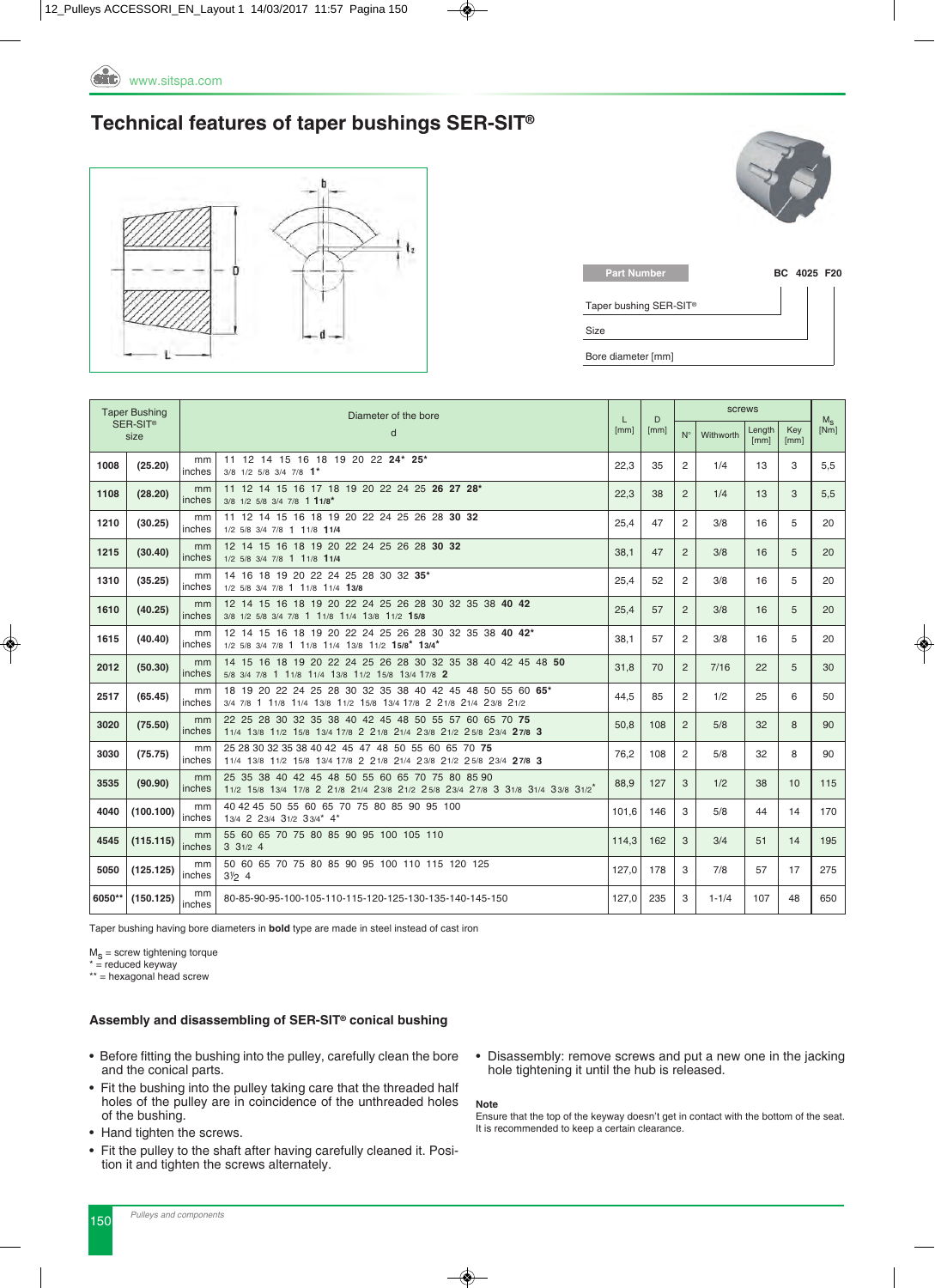### **Technical features of taper bushings SER-SIT®**



| BC 4025 F20 |
|-------------|
|             |
|             |
|             |

| <b>Taper Bushing</b> |                              | Diameter of the bore |                                                                                                                                   | L            | D   |                | screws    |                |             |                 |
|----------------------|------------------------------|----------------------|-----------------------------------------------------------------------------------------------------------------------------------|--------------|-----|----------------|-----------|----------------|-------------|-----------------|
|                      | SER-SIT <sup>®</sup><br>size |                      | d                                                                                                                                 | [mm]<br>[mm] |     | $N^{\circ}$    | Withworth | Length<br>[mm] | Key<br>[mm] | $M_{S}$<br>[Nm] |
| 1008                 | (25.20)                      | mm<br>inches         | 11 12 14 15 16 18 19 20 22 24* 25*<br>3/8 1/2 5/8 3/4 7/8 1*                                                                      | 22.3         | 35  | 2              | 1/4       | 13             | 3           | 5,5             |
| 1108                 | (28.20)                      | mm<br>inches         | 11 12 14 15 16 17 18 19 20 22 24 25 26 27 28*<br>3/8 1/2 5/8 3/4 7/8 1 11/8*                                                      | 22,3         | 38  | $\overline{2}$ | 1/4       | 13             | 3           | 5,5             |
| 1210                 | (30.25)                      | mm<br>inches         | 11 12 14 15 16 18 19 20 22 24 25 26 28 30 32<br>1/2 5/8 3/4 7/8 1 11/8 11/4                                                       | 25.4         | 47  | 2              | 3/8       | 16             | 5           | 20              |
| 1215                 | (30.40)                      | mm<br>inches         | 12 14 15 16 18 19 20 22 24 25 26 28 30 32<br>1/2 5/8 3/4 7/8 1 11/8 11/4                                                          | 38,1         | 47  | $\overline{2}$ | 3/8       | 16             | 5           | 20              |
| 1310                 | (35.25)                      | mm<br>inches         | 14 16 18 19 20 22 24 25 28 30 32 35*<br>1/2 5/8 3/4 7/8 1 11/8 11/4 13/8                                                          | 25,4         | 52  | 2              | 3/8       | 16             | 5           | 20              |
| 1610                 | (40.25)                      | mm<br>inches         | 12 14 15 16 18 19 20 22 24 25 26 28 30 32 35 38 40 42<br>3/8 1/2 5/8 3/4 7/8 1 11/8 11/4 13/8 11/2 15/8                           | 25,4         | 57  | $\overline{2}$ | 3/8       | 16             | 5           | 20              |
| 1615                 | (40.40)                      | mm<br>inches         | 12 14 15 16 18 19 20 22 24 25 26 28 30 32 35 38 40 42*<br>1/2 5/8 3/4 7/8 1 11/8 11/4 13/8 11/2 15/8* 13/4*                       | 38.1         | 57  | 2              | 3/8       | 16             | 5           | 20              |
| 2012                 | (50.30)                      | mm<br>inches         | 14 15 16 18 19 20 22 24 25 26 28 30 32 35 38 40 42 45 48 50<br>5/8 3/4 7/8 1 11/8 11/4 13/8 11/2 15/8 13/4 17/8 2                 | 31,8         | 70  | 2              | 7/16      | 22             | 5           | 30              |
| 2517                 | (65.45)                      | mm<br>inches         | 18 19 20 22 24 25 28 30 32 35 38 40 42 45 48 50 55 60 65*<br>3/4 7/8 1 11/8 11/4 13/8 11/2 15/8 13/4 17/8 2 21/8 21/4 23/8 21/2   | 44,5         | 85  | 2              | 1/2       | 25             | 6           | 50              |
| 3020                 | (75.50)                      | mm<br>inches         | 22 25 28 30 32 35 38 40 42 45 48 50 55 57 60 65 70 75<br>11/4 13/8 11/2 15/8 13/4 17/8 2 21/8 21/4 23/8 21/2 25/8 23/4 27/8 3     | 50.8         | 108 | 2              | 5/8       | 32             | 8           | 90              |
| 3030                 | (75.75)                      | mm<br>inches         | 25 28 30 32 35 38 40 42 45 47 48 50 55 60 65 70 75<br>11/4 13/8 11/2 15/8 13/4 17/8 2 21/8 21/4 23/8 21/2 25/8 23/4 27/8 3        | 76,2         | 108 | 2              | 5/8       | 32             | 8           | 90              |
| 3535                 | (90.90)                      | mm<br>inches         | 25 35 38 40 42 45 48 50 55 60 65 70 75 80 85 90<br>11/2 15/8 13/4 17/8 2 21/8 21/4 23/8 21/2 25/8 23/4 27/8 3 31/8 31/4 33/8 31/2 | 88,9         | 127 | 3              | 1/2       | 38             | 10          | 115             |
| 4040                 | (100.100)                    | mm<br>inches         | 40 42 45 50 55 60 65 70 75 80 85 90 95 100<br>13/4 2 23/4 31/2 33/4* 4*                                                           | 101,6        | 146 | 3              | 5/8       | 44             | 14          | 170             |
| 4545                 | (115.115)                    | mm<br>inches         | 55 60 65 70 75 80 85 90 95 100 105 110<br>331/24                                                                                  | 114,3        | 162 | 3              | 3/4       | 51             | 14          | 195             |
| 5050                 | (125.125)                    | mm<br>inches         | 50 60 65 70 75 80 85 90 95 100 110 115 120 125<br>$3\frac{1}{2}$ 4                                                                | 127.0        | 178 | 3              | 7/8       | 57             | 17          | 275             |
| 6050**               | (150.125)                    | mm<br>inches         | 80-85-90-95-100-105-110-115-120-125-130-135-140-145-150                                                                           | 127,0        | 235 | 3              | $1 - 1/4$ | 107            | 48          | 650             |

Taper bushing having bore diameters in **bold** type are made in steel instead of cast iron

 $M<sub>S</sub>$  = screw tightening torque

 $* =$  reduced keyway

\*\* = hexagonal head screw

### **assembly and disassembling of SER-SIT® conical bushing**

- Before fitting the bushing into the pulley, carefully clean the bore and the conical parts.
- Fit the bushing into the pulley taking care that the threaded half holes of the pulley are in coincidence of the unthreaded holes of the bushing.
- Hand tighten the screws.
- Fit the pulley to the shaft after having carefully cleaned it. Position it and tighten the screws alternately.
- Disassembly: remove screws and put a new one in the jacking hole tightening it until the hub is released.

#### **Note**

Ensure that the top of the keyway doesn't get in contact with the bottom of the seat. it is recommended to keep a certain clearance.